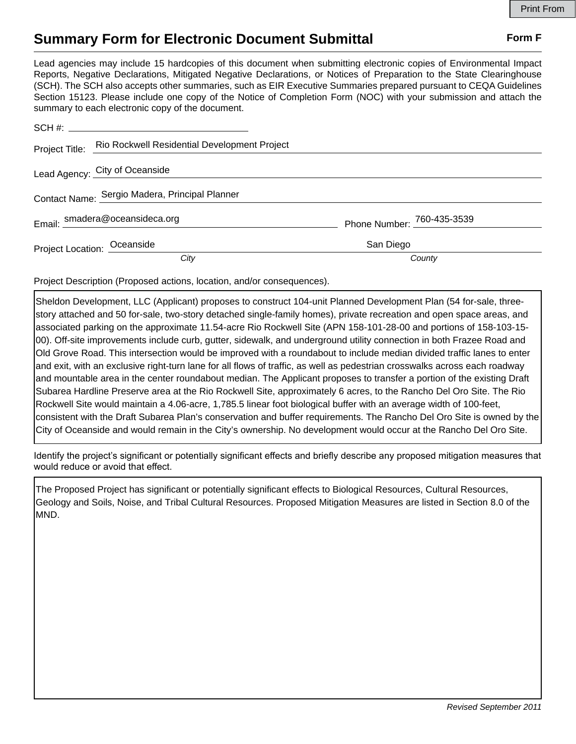## **Summary Form for Electronic Document Submittal Form F Form F**

Lead agencies may include 15 hardcopies of this document when submitting electronic copies of Environmental Impact Reports, Negative Declarations, Mitigated Negative Declarations, or Notices of Preparation to the State Clearinghouse (SCH). The SCH also accepts other summaries, such as EIR Executive Summaries prepared pursuant to CEQA Guidelines Section 15123. Please include one copy of the Notice of Completion Form (NOC) with your submission and attach the summary to each electronic copy of the document.

|                                                | Project Title: Rio Rockwell Residential Development Project |                            |
|------------------------------------------------|-------------------------------------------------------------|----------------------------|
|                                                | Lead Agency: City of Oceanside                              |                            |
| Contact Name: Sergio Madera, Principal Planner |                                                             |                            |
|                                                | Email: smadera@oceansideca.org                              | Phone Number: 760-435-3539 |
| Project Location: Oceanside                    |                                                             | San Diego                  |
|                                                | City                                                        | County                     |

Project Description (Proposed actions, location, and/or consequences).

Sheldon Development, LLC (Applicant) proposes to construct 104-unit Planned Development Plan (54 for-sale, threestory attached and 50 for-sale, two-story detached single-family homes), private recreation and open space areas, and associated parking on the approximate 11.54-acre Rio Rockwell Site (APN 158-101-28-00 and portions of 158-103-15- 00). Off-site improvements include curb, gutter, sidewalk, and underground utility connection in both Frazee Road and Old Grove Road. This intersection would be improved with a roundabout to include median divided traffic lanes to enter and exit, with an exclusive right-turn lane for all flows of traffic, as well as pedestrian crosswalks across each roadway and mountable area in the center roundabout median. The Applicant proposes to transfer a portion of the existing Draft Subarea Hardline Preserve area at the Rio Rockwell Site, approximately 6 acres, to the Rancho Del Oro Site. The Rio Rockwell Site would maintain a 4.06-acre, 1,785.5 linear foot biological buffer with an average width of 100-feet, consistent with the Draft Subarea Plan's conservation and buffer requirements. The Rancho Del Oro Site is owned by the City of Oceanside and would remain in the City's ownership. No development would occur at the Rancho Del Oro Site.

Identify the project's significant or potentially significant effects and briefly describe any proposed mitigation measures that would reduce or avoid that effect.

The Proposed Project has significant or potentially significant effects to Biological Resources, Cultural Resources, Geology and Soils, Noise, and Tribal Cultural Resources. Proposed Mitigation Measures are listed in Section 8.0 of the MND.